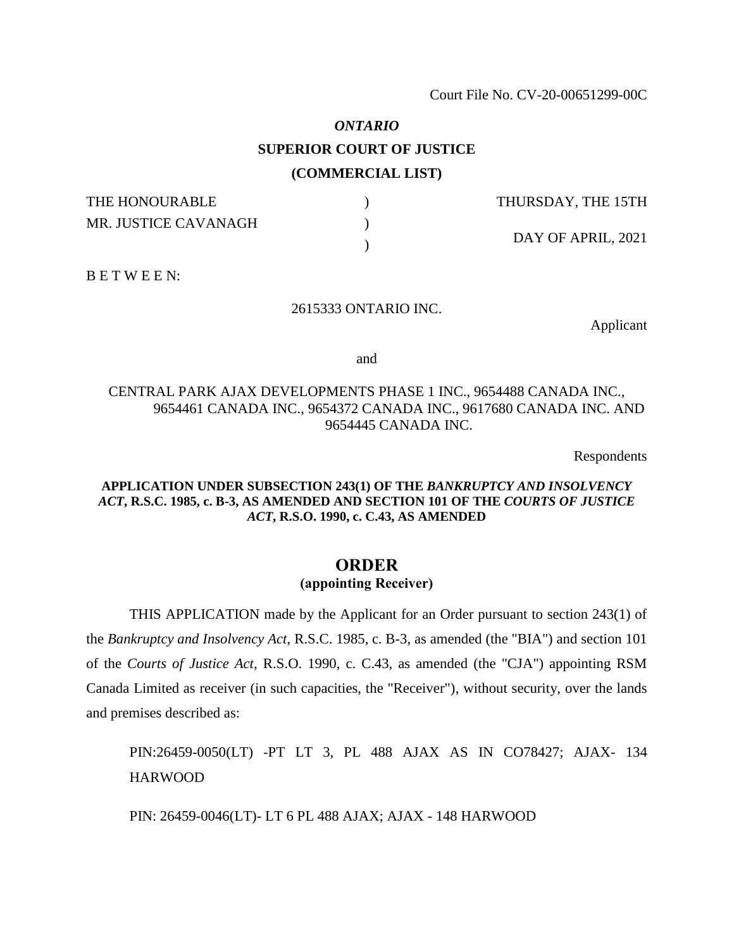# *ONTARIO* **SUPERIOR COURT OF JUSTICE (COMMERCIAL LIST)**

| THE HONOURABLE       | THURSDAY, THE 15TH |
|----------------------|--------------------|
| MR. JUSTICE CAVANAGH | DAY OF APRIL, 2021 |

B E T W E E N:

#### 2615333 ONTARIO INC.

Applicant

and

# CENTRAL PARK AJAX DEVELOPMENTS PHASE 1 INC., 9654488 CANADA INC., 9654461 CANADA INC., 9654372 CANADA INC., 9617680 CANADA INC. AND 9654445 CANADA INC.

Respondents

## **APPLICATION UNDER SUBSECTION 243(1) OF THE** *BANKRUPTCY AND INSOLVENCY ACT***, R.S.C. 1985, c. B-3, AS AMENDED AND SECTION 101 OF THE** *COURTS OF JUSTICE ACT***, R.S.O. 1990, c. C.43, AS AMENDED**

# **ORDER (appointing Receiver)**

THIS APPLICATION made by the Applicant for an Order pursuant to section 243(1) of the *Bankruptcy and Insolvency Act*, R.S.C. 1985, c. B-3, as amended (the "BIA") and section 101 of the *Courts of Justice Act*, R.S.O. 1990, c. C.43, as amended (the "CJA") appointing RSM Canada Limited as receiver (in such capacities, the "Receiver"), without security, over the lands and premises described as:

PIN:26459-0050(LT) -PT LT 3, PL 488 AJAX AS IN CO78427; AJAX- 134 HARWOOD

PIN: 26459-0046(LT)- LT 6 PL 488 AJAX; AJAX - 148 HARWOOD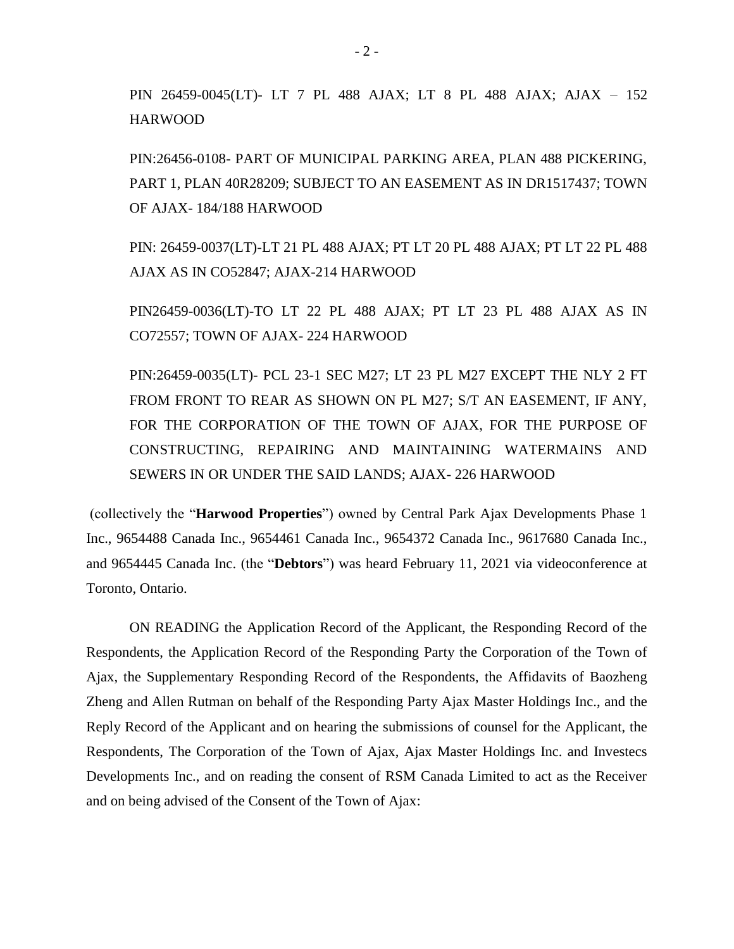PIN 26459-0045(LT)- LT 7 PL 488 AJAX; LT 8 PL 488 AJAX; AJAX – 152 HARWOOD

PIN:26456-0108- PART OF MUNICIPAL PARKING AREA, PLAN 488 PICKERING, PART 1, PLAN 40R28209; SUBJECT TO AN EASEMENT AS IN DR1517437; TOWN OF AJAX- 184/188 HARWOOD

PIN: 26459-0037(LT)-LT 21 PL 488 AJAX; PT LT 20 PL 488 AJAX; PT LT 22 PL 488 AJAX AS IN CO52847; AJAX-214 HARWOOD

PIN26459-0036(LT)-TO LT 22 PL 488 AJAX; PT LT 23 PL 488 AJAX AS IN CO72557; TOWN OF AJAX- 224 HARWOOD

PIN:26459-0035(LT)- PCL 23-1 SEC M27; LT 23 PL M27 EXCEPT THE NLY 2 FT FROM FRONT TO REAR AS SHOWN ON PL M27; S/T AN EASEMENT, IF ANY, FOR THE CORPORATION OF THE TOWN OF AJAX, FOR THE PURPOSE OF CONSTRUCTING, REPAIRING AND MAINTAINING WATERMAINS AND SEWERS IN OR UNDER THE SAID LANDS; AJAX- 226 HARWOOD

(collectively the "**Harwood Properties**") owned by Central Park Ajax Developments Phase 1 Inc., 9654488 Canada Inc., 9654461 Canada Inc., 9654372 Canada Inc., 9617680 Canada Inc., and 9654445 Canada Inc. (the "**Debtors**") was heard February 11, 2021 via videoconference at Toronto, Ontario.

ON READING the Application Record of the Applicant, the Responding Record of the Respondents, the Application Record of the Responding Party the Corporation of the Town of Ajax, the Supplementary Responding Record of the Respondents, the Affidavits of Baozheng Zheng and Allen Rutman on behalf of the Responding Party Ajax Master Holdings Inc., and the Reply Record of the Applicant and on hearing the submissions of counsel for the Applicant, the Respondents, The Corporation of the Town of Ajax, Ajax Master Holdings Inc. and Investecs Developments Inc., and on reading the consent of RSM Canada Limited to act as the Receiver and on being advised of the Consent of the Town of Ajax: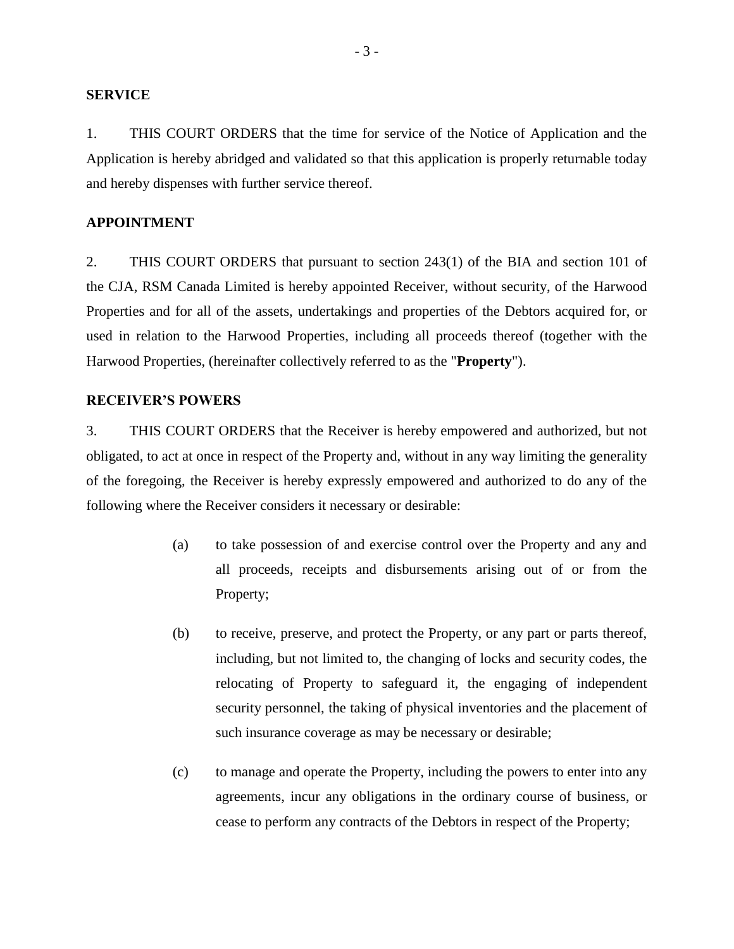#### **SERVICE**

1. THIS COURT ORDERS that the time for service of the Notice of Application and the Application is hereby abridged and validated so that this application is properly returnable today and hereby dispenses with further service thereof.

#### **APPOINTMENT**

2. THIS COURT ORDERS that pursuant to section 243(1) of the BIA and section 101 of the CJA, RSM Canada Limited is hereby appointed Receiver, without security, of the Harwood Properties and for all of the assets, undertakings and properties of the Debtors acquired for, or used in relation to the Harwood Properties, including all proceeds thereof (together with the Harwood Properties, (hereinafter collectively referred to as the "**Property**").

#### **RECEIVER'S POWERS**

3. THIS COURT ORDERS that the Receiver is hereby empowered and authorized, but not obligated, to act at once in respect of the Property and, without in any way limiting the generality of the foregoing, the Receiver is hereby expressly empowered and authorized to do any of the following where the Receiver considers it necessary or desirable:

- (a) to take possession of and exercise control over the Property and any and all proceeds, receipts and disbursements arising out of or from the Property;
- (b) to receive, preserve, and protect the Property, or any part or parts thereof, including, but not limited to, the changing of locks and security codes, the relocating of Property to safeguard it, the engaging of independent security personnel, the taking of physical inventories and the placement of such insurance coverage as may be necessary or desirable;
- (c) to manage and operate the Property, including the powers to enter into any agreements, incur any obligations in the ordinary course of business, or cease to perform any contracts of the Debtors in respect of the Property;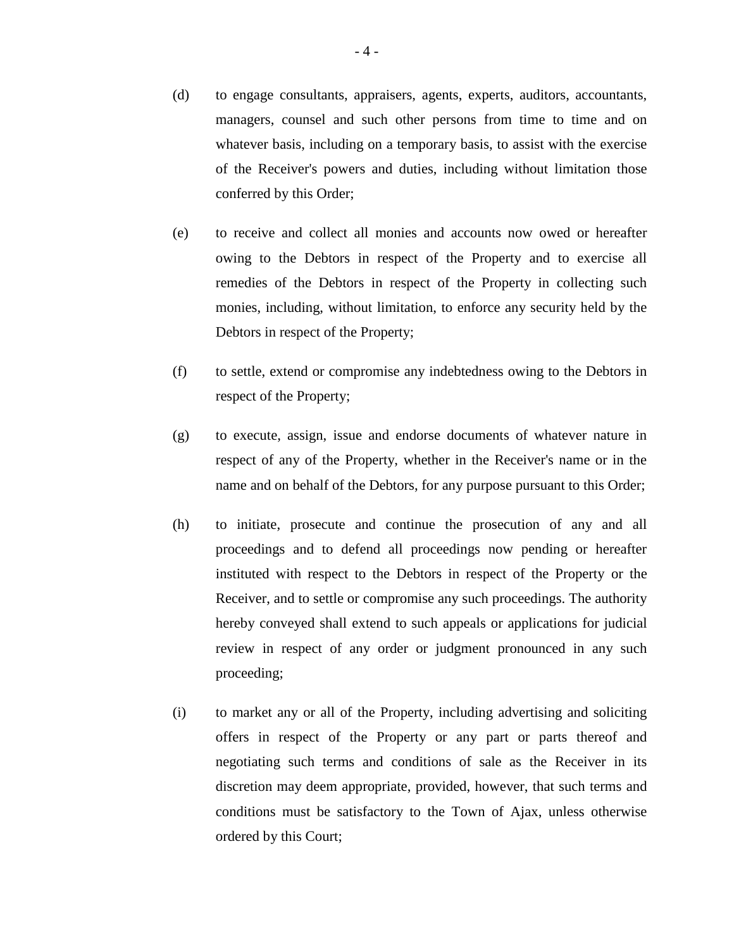- (d) to engage consultants, appraisers, agents, experts, auditors, accountants, managers, counsel and such other persons from time to time and on whatever basis, including on a temporary basis, to assist with the exercise of the Receiver's powers and duties, including without limitation those conferred by this Order;
- (e) to receive and collect all monies and accounts now owed or hereafter owing to the Debtors in respect of the Property and to exercise all remedies of the Debtors in respect of the Property in collecting such monies, including, without limitation, to enforce any security held by the Debtors in respect of the Property;
- (f) to settle, extend or compromise any indebtedness owing to the Debtors in respect of the Property;
- (g) to execute, assign, issue and endorse documents of whatever nature in respect of any of the Property, whether in the Receiver's name or in the name and on behalf of the Debtors, for any purpose pursuant to this Order;
- (h) to initiate, prosecute and continue the prosecution of any and all proceedings and to defend all proceedings now pending or hereafter instituted with respect to the Debtors in respect of the Property or the Receiver, and to settle or compromise any such proceedings. The authority hereby conveyed shall extend to such appeals or applications for judicial review in respect of any order or judgment pronounced in any such proceeding;
- (i) to market any or all of the Property, including advertising and soliciting offers in respect of the Property or any part or parts thereof and negotiating such terms and conditions of sale as the Receiver in its discretion may deem appropriate, provided, however, that such terms and conditions must be satisfactory to the Town of Ajax, unless otherwise ordered by this Court;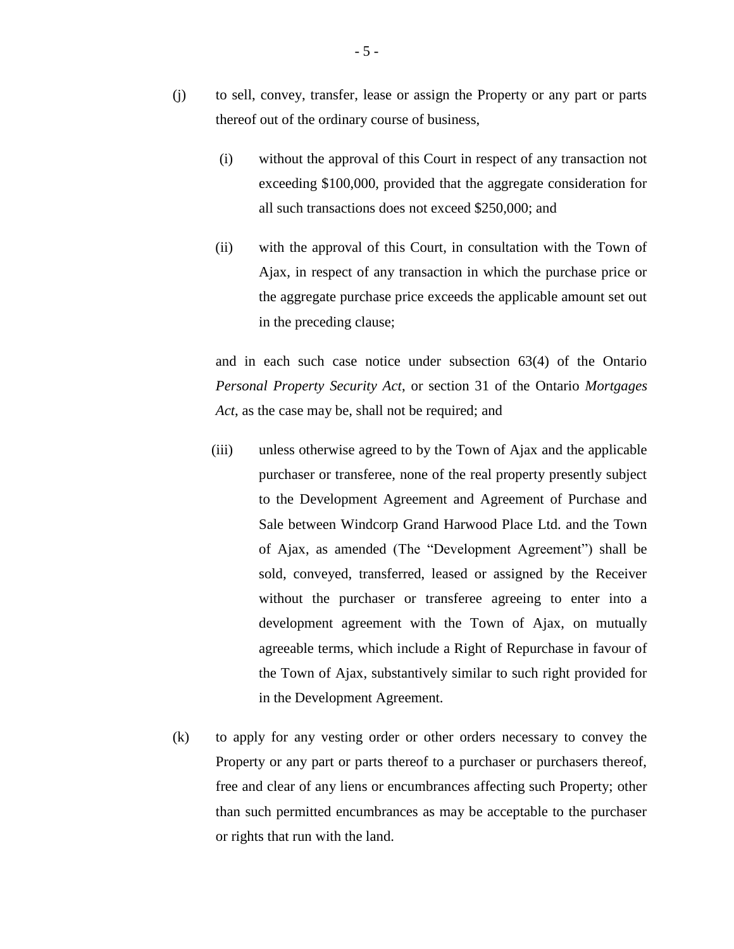- (j) to sell, convey, transfer, lease or assign the Property or any part or parts thereof out of the ordinary course of business,
	- (i) without the approval of this Court in respect of any transaction not exceeding \$100,000, provided that the aggregate consideration for all such transactions does not exceed \$250,000; and
	- (ii) with the approval of this Court, in consultation with the Town of Ajax, in respect of any transaction in which the purchase price or the aggregate purchase price exceeds the applicable amount set out in the preceding clause;

and in each such case notice under subsection 63(4) of the Ontario *Personal Property Security Act*, or section 31 of the Ontario *Mortgages Act*, as the case may be, shall not be required; and

- (iii) unless otherwise agreed to by the Town of Ajax and the applicable purchaser or transferee, none of the real property presently subject to the Development Agreement and Agreement of Purchase and Sale between Windcorp Grand Harwood Place Ltd. and the Town of Ajax, as amended (The "Development Agreement") shall be sold, conveyed, transferred, leased or assigned by the Receiver without the purchaser or transferee agreeing to enter into a development agreement with the Town of Ajax, on mutually agreeable terms, which include a Right of Repurchase in favour of the Town of Ajax, substantively similar to such right provided for in the Development Agreement.
- (k) to apply for any vesting order or other orders necessary to convey the Property or any part or parts thereof to a purchaser or purchasers thereof, free and clear of any liens or encumbrances affecting such Property; other than such permitted encumbrances as may be acceptable to the purchaser or rights that run with the land.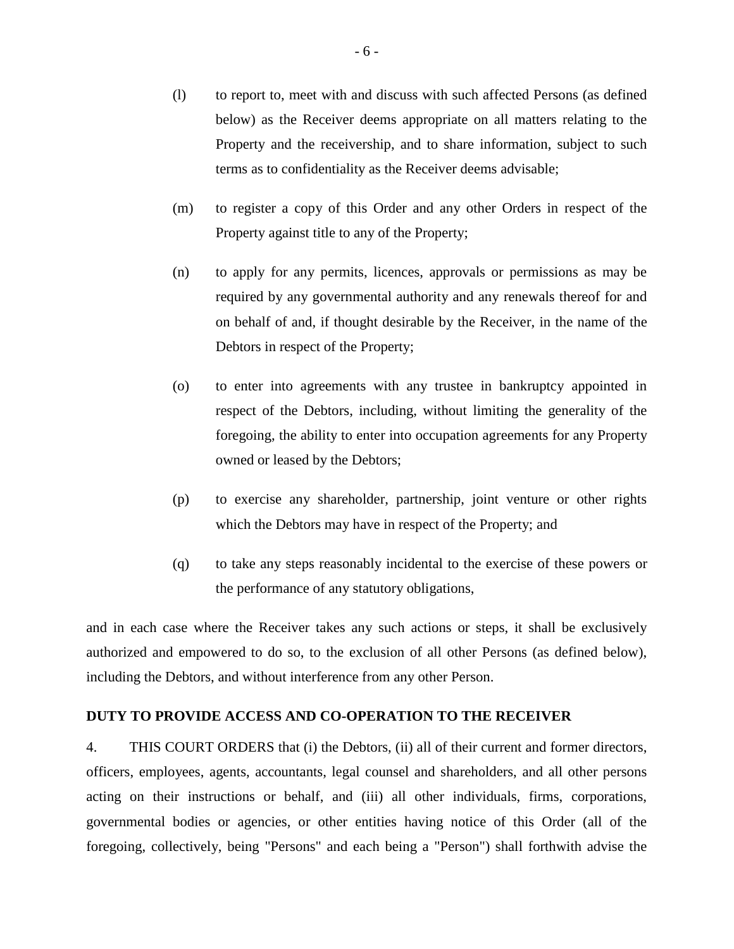- (l) to report to, meet with and discuss with such affected Persons (as defined below) as the Receiver deems appropriate on all matters relating to the Property and the receivership, and to share information, subject to such terms as to confidentiality as the Receiver deems advisable;
- (m) to register a copy of this Order and any other Orders in respect of the Property against title to any of the Property;
- (n) to apply for any permits, licences, approvals or permissions as may be required by any governmental authority and any renewals thereof for and on behalf of and, if thought desirable by the Receiver, in the name of the Debtors in respect of the Property;
- (o) to enter into agreements with any trustee in bankruptcy appointed in respect of the Debtors, including, without limiting the generality of the foregoing, the ability to enter into occupation agreements for any Property owned or leased by the Debtors;
- (p) to exercise any shareholder, partnership, joint venture or other rights which the Debtors may have in respect of the Property; and
- (q) to take any steps reasonably incidental to the exercise of these powers or the performance of any statutory obligations,

and in each case where the Receiver takes any such actions or steps, it shall be exclusively authorized and empowered to do so, to the exclusion of all other Persons (as defined below), including the Debtors, and without interference from any other Person.

# **DUTY TO PROVIDE ACCESS AND CO-OPERATION TO THE RECEIVER**

4. THIS COURT ORDERS that (i) the Debtors, (ii) all of their current and former directors, officers, employees, agents, accountants, legal counsel and shareholders, and all other persons acting on their instructions or behalf, and (iii) all other individuals, firms, corporations, governmental bodies or agencies, or other entities having notice of this Order (all of the foregoing, collectively, being "Persons" and each being a "Person") shall forthwith advise the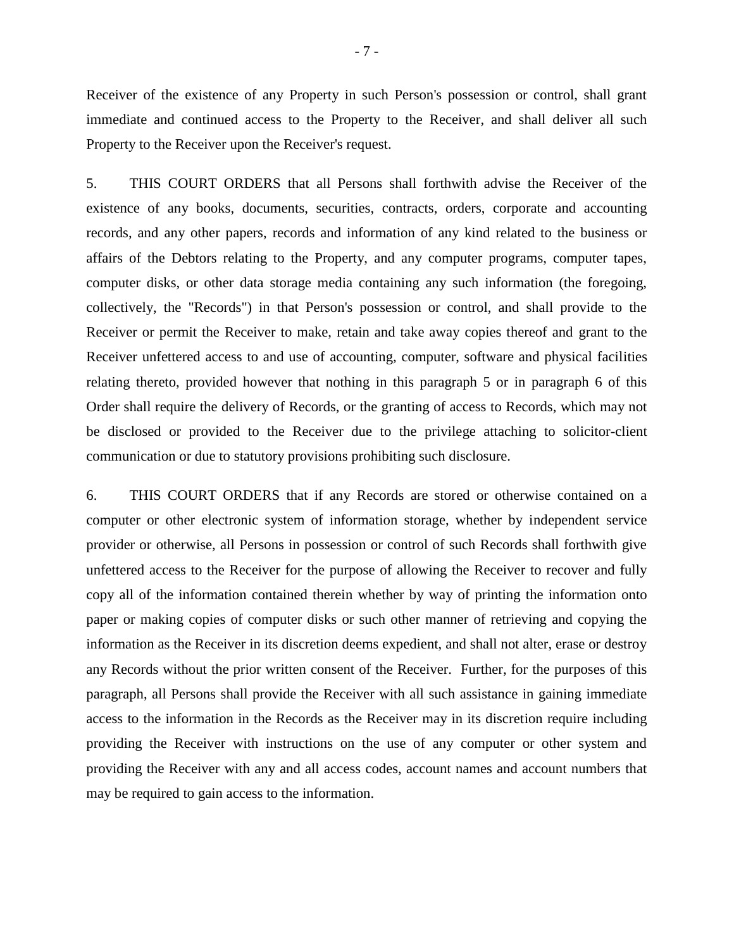Receiver of the existence of any Property in such Person's possession or control, shall grant immediate and continued access to the Property to the Receiver, and shall deliver all such Property to the Receiver upon the Receiver's request.

5. THIS COURT ORDERS that all Persons shall forthwith advise the Receiver of the existence of any books, documents, securities, contracts, orders, corporate and accounting records, and any other papers, records and information of any kind related to the business or affairs of the Debtors relating to the Property, and any computer programs, computer tapes, computer disks, or other data storage media containing any such information (the foregoing, collectively, the "Records") in that Person's possession or control, and shall provide to the Receiver or permit the Receiver to make, retain and take away copies thereof and grant to the Receiver unfettered access to and use of accounting, computer, software and physical facilities relating thereto, provided however that nothing in this paragraph 5 or in paragraph 6 of this Order shall require the delivery of Records, or the granting of access to Records, which may not be disclosed or provided to the Receiver due to the privilege attaching to solicitor-client communication or due to statutory provisions prohibiting such disclosure.

6. THIS COURT ORDERS that if any Records are stored or otherwise contained on a computer or other electronic system of information storage, whether by independent service provider or otherwise, all Persons in possession or control of such Records shall forthwith give unfettered access to the Receiver for the purpose of allowing the Receiver to recover and fully copy all of the information contained therein whether by way of printing the information onto paper or making copies of computer disks or such other manner of retrieving and copying the information as the Receiver in its discretion deems expedient, and shall not alter, erase or destroy any Records without the prior written consent of the Receiver. Further, for the purposes of this paragraph, all Persons shall provide the Receiver with all such assistance in gaining immediate access to the information in the Records as the Receiver may in its discretion require including providing the Receiver with instructions on the use of any computer or other system and providing the Receiver with any and all access codes, account names and account numbers that may be required to gain access to the information.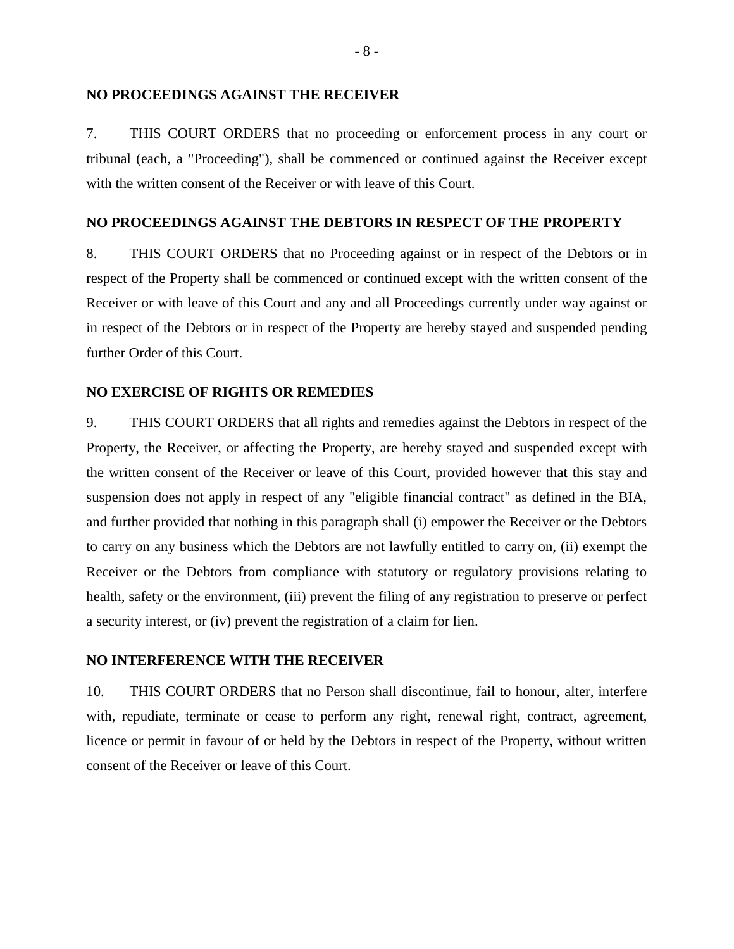#### **NO PROCEEDINGS AGAINST THE RECEIVER**

7. THIS COURT ORDERS that no proceeding or enforcement process in any court or tribunal (each, a "Proceeding"), shall be commenced or continued against the Receiver except with the written consent of the Receiver or with leave of this Court.

#### **NO PROCEEDINGS AGAINST THE DEBTORS IN RESPECT OF THE PROPERTY**

8. THIS COURT ORDERS that no Proceeding against or in respect of the Debtors or in respect of the Property shall be commenced or continued except with the written consent of the Receiver or with leave of this Court and any and all Proceedings currently under way against or in respect of the Debtors or in respect of the Property are hereby stayed and suspended pending further Order of this Court.

#### **NO EXERCISE OF RIGHTS OR REMEDIES**

9. THIS COURT ORDERS that all rights and remedies against the Debtors in respect of the Property, the Receiver, or affecting the Property, are hereby stayed and suspended except with the written consent of the Receiver or leave of this Court, provided however that this stay and suspension does not apply in respect of any "eligible financial contract" as defined in the BIA, and further provided that nothing in this paragraph shall (i) empower the Receiver or the Debtors to carry on any business which the Debtors are not lawfully entitled to carry on, (ii) exempt the Receiver or the Debtors from compliance with statutory or regulatory provisions relating to health, safety or the environment, (iii) prevent the filing of any registration to preserve or perfect a security interest, or (iv) prevent the registration of a claim for lien.

#### **NO INTERFERENCE WITH THE RECEIVER**

10. THIS COURT ORDERS that no Person shall discontinue, fail to honour, alter, interfere with, repudiate, terminate or cease to perform any right, renewal right, contract, agreement, licence or permit in favour of or held by the Debtors in respect of the Property, without written consent of the Receiver or leave of this Court.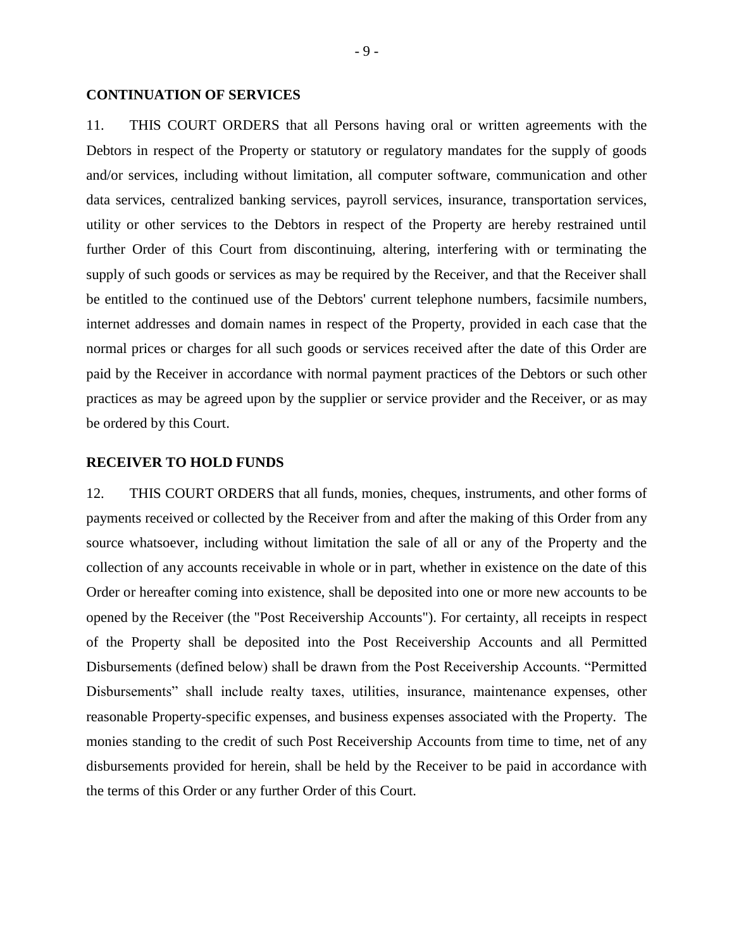#### **CONTINUATION OF SERVICES**

11. THIS COURT ORDERS that all Persons having oral or written agreements with the Debtors in respect of the Property or statutory or regulatory mandates for the supply of goods and/or services, including without limitation, all computer software, communication and other data services, centralized banking services, payroll services, insurance, transportation services, utility or other services to the Debtors in respect of the Property are hereby restrained until further Order of this Court from discontinuing, altering, interfering with or terminating the supply of such goods or services as may be required by the Receiver, and that the Receiver shall be entitled to the continued use of the Debtors' current telephone numbers, facsimile numbers, internet addresses and domain names in respect of the Property, provided in each case that the normal prices or charges for all such goods or services received after the date of this Order are paid by the Receiver in accordance with normal payment practices of the Debtors or such other practices as may be agreed upon by the supplier or service provider and the Receiver, or as may be ordered by this Court.

## **RECEIVER TO HOLD FUNDS**

12. THIS COURT ORDERS that all funds, monies, cheques, instruments, and other forms of payments received or collected by the Receiver from and after the making of this Order from any source whatsoever, including without limitation the sale of all or any of the Property and the collection of any accounts receivable in whole or in part, whether in existence on the date of this Order or hereafter coming into existence, shall be deposited into one or more new accounts to be opened by the Receiver (the "Post Receivership Accounts"). For certainty, all receipts in respect of the Property shall be deposited into the Post Receivership Accounts and all Permitted Disbursements (defined below) shall be drawn from the Post Receivership Accounts. "Permitted Disbursements" shall include realty taxes, utilities, insurance, maintenance expenses, other reasonable Property-specific expenses, and business expenses associated with the Property. The monies standing to the credit of such Post Receivership Accounts from time to time, net of any disbursements provided for herein, shall be held by the Receiver to be paid in accordance with the terms of this Order or any further Order of this Court.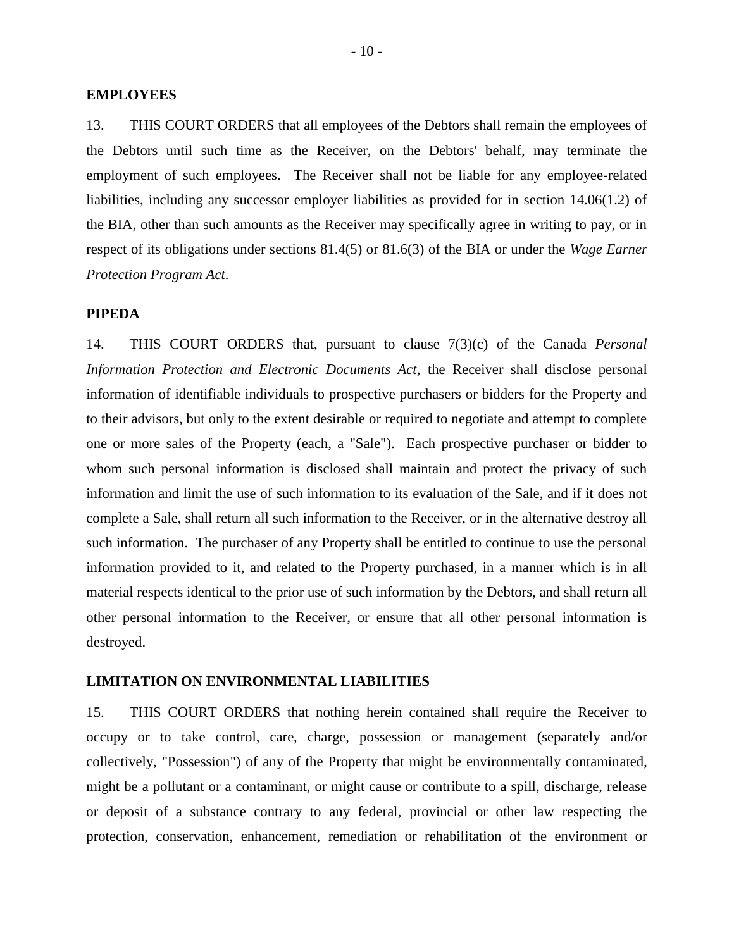#### **EMPLOYEES**

13. THIS COURT ORDERS that all employees of the Debtors shall remain the employees of the Debtors until such time as the Receiver, on the Debtors' behalf, may terminate the employment of such employees. The Receiver shall not be liable for any employee-related liabilities, including any successor employer liabilities as provided for in section 14.06(1.2) of the BIA, other than such amounts as the Receiver may specifically agree in writing to pay, or in respect of its obligations under sections 81.4(5) or 81.6(3) of the BIA or under the *Wage Earner Protection Program Act*.

#### **PIPEDA**

14. THIS COURT ORDERS that, pursuant to clause 7(3)(c) of the Canada *Personal Information Protection and Electronic Documents Act*, the Receiver shall disclose personal information of identifiable individuals to prospective purchasers or bidders for the Property and to their advisors, but only to the extent desirable or required to negotiate and attempt to complete one or more sales of the Property (each, a "Sale"). Each prospective purchaser or bidder to whom such personal information is disclosed shall maintain and protect the privacy of such information and limit the use of such information to its evaluation of the Sale, and if it does not complete a Sale, shall return all such information to the Receiver, or in the alternative destroy all such information. The purchaser of any Property shall be entitled to continue to use the personal information provided to it, and related to the Property purchased, in a manner which is in all material respects identical to the prior use of such information by the Debtors, and shall return all other personal information to the Receiver, or ensure that all other personal information is destroyed.

#### **LIMITATION ON ENVIRONMENTAL LIABILITIES**

15. THIS COURT ORDERS that nothing herein contained shall require the Receiver to occupy or to take control, care, charge, possession or management (separately and/or collectively, "Possession") of any of the Property that might be environmentally contaminated, might be a pollutant or a contaminant, or might cause or contribute to a spill, discharge, release or deposit of a substance contrary to any federal, provincial or other law respecting the protection, conservation, enhancement, remediation or rehabilitation of the environment or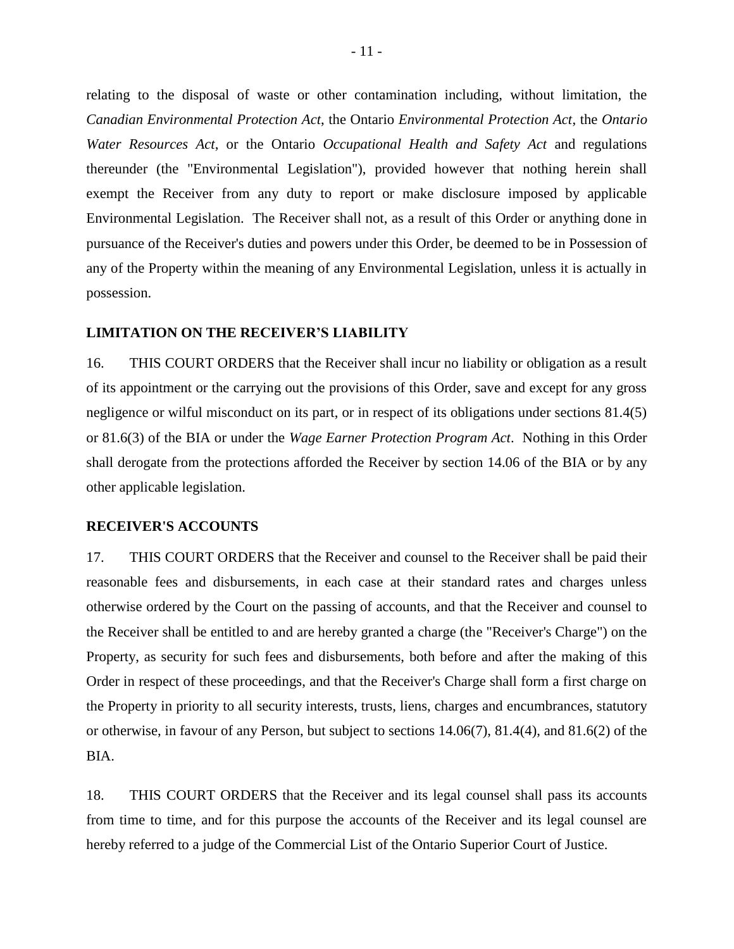relating to the disposal of waste or other contamination including, without limitation, the *Canadian Environmental Protection Act*, the Ontario *Environmental Protection Act*, the *Ontario Water Resources Act*, or the Ontario *Occupational Health and Safety Act* and regulations thereunder (the "Environmental Legislation"), provided however that nothing herein shall exempt the Receiver from any duty to report or make disclosure imposed by applicable Environmental Legislation. The Receiver shall not, as a result of this Order or anything done in pursuance of the Receiver's duties and powers under this Order, be deemed to be in Possession of any of the Property within the meaning of any Environmental Legislation, unless it is actually in possession.

#### **LIMITATION ON THE RECEIVER'S LIABILITY**

16. THIS COURT ORDERS that the Receiver shall incur no liability or obligation as a result of its appointment or the carrying out the provisions of this Order, save and except for any gross negligence or wilful misconduct on its part, or in respect of its obligations under sections 81.4(5) or 81.6(3) of the BIA or under the *Wage Earner Protection Program Act*. Nothing in this Order shall derogate from the protections afforded the Receiver by section 14.06 of the BIA or by any other applicable legislation.

#### **RECEIVER'S ACCOUNTS**

17. THIS COURT ORDERS that the Receiver and counsel to the Receiver shall be paid their reasonable fees and disbursements, in each case at their standard rates and charges unless otherwise ordered by the Court on the passing of accounts, and that the Receiver and counsel to the Receiver shall be entitled to and are hereby granted a charge (the "Receiver's Charge") on the Property, as security for such fees and disbursements, both before and after the making of this Order in respect of these proceedings, and that the Receiver's Charge shall form a first charge on the Property in priority to all security interests, trusts, liens, charges and encumbrances, statutory or otherwise, in favour of any Person, but subject to sections 14.06(7), 81.4(4), and 81.6(2) of the BIA.

18. THIS COURT ORDERS that the Receiver and its legal counsel shall pass its accounts from time to time, and for this purpose the accounts of the Receiver and its legal counsel are hereby referred to a judge of the Commercial List of the Ontario Superior Court of Justice.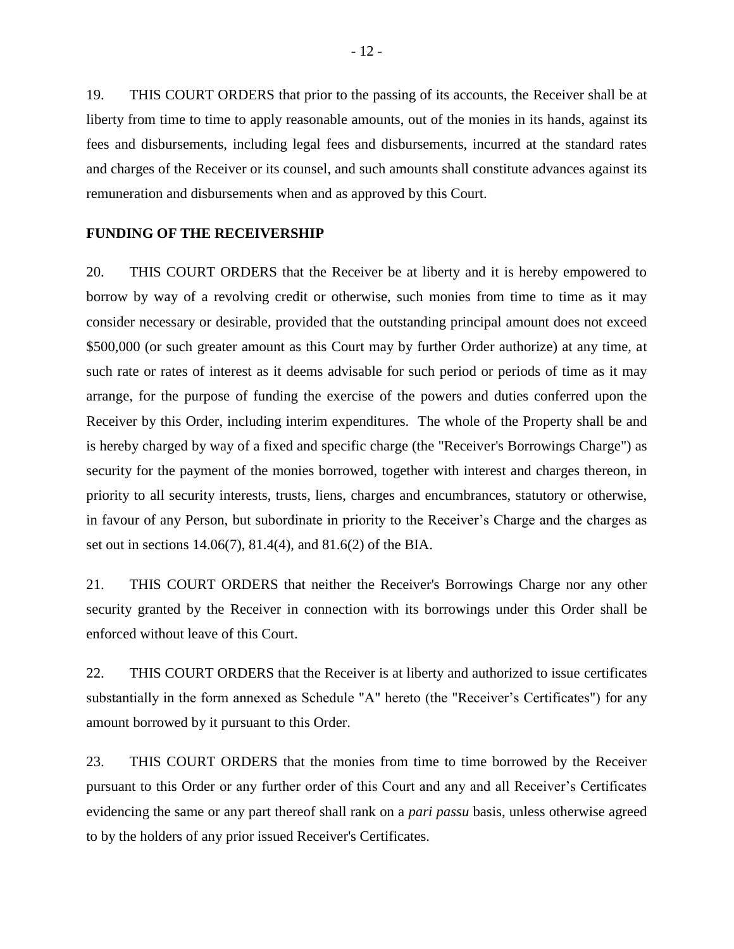19. THIS COURT ORDERS that prior to the passing of its accounts, the Receiver shall be at liberty from time to time to apply reasonable amounts, out of the monies in its hands, against its fees and disbursements, including legal fees and disbursements, incurred at the standard rates and charges of the Receiver or its counsel, and such amounts shall constitute advances against its remuneration and disbursements when and as approved by this Court.

## **FUNDING OF THE RECEIVERSHIP**

20. THIS COURT ORDERS that the Receiver be at liberty and it is hereby empowered to borrow by way of a revolving credit or otherwise, such monies from time to time as it may consider necessary or desirable, provided that the outstanding principal amount does not exceed \$500,000 (or such greater amount as this Court may by further Order authorize) at any time, at such rate or rates of interest as it deems advisable for such period or periods of time as it may arrange, for the purpose of funding the exercise of the powers and duties conferred upon the Receiver by this Order, including interim expenditures. The whole of the Property shall be and is hereby charged by way of a fixed and specific charge (the "Receiver's Borrowings Charge") as security for the payment of the monies borrowed, together with interest and charges thereon, in priority to all security interests, trusts, liens, charges and encumbrances, statutory or otherwise, in favour of any Person, but subordinate in priority to the Receiver's Charge and the charges as set out in sections 14.06(7), 81.4(4), and 81.6(2) of the BIA.

21. THIS COURT ORDERS that neither the Receiver's Borrowings Charge nor any other security granted by the Receiver in connection with its borrowings under this Order shall be enforced without leave of this Court.

22. THIS COURT ORDERS that the Receiver is at liberty and authorized to issue certificates substantially in the form annexed as Schedule "A" hereto (the "Receiver's Certificates") for any amount borrowed by it pursuant to this Order.

23. THIS COURT ORDERS that the monies from time to time borrowed by the Receiver pursuant to this Order or any further order of this Court and any and all Receiver's Certificates evidencing the same or any part thereof shall rank on a *pari passu* basis, unless otherwise agreed to by the holders of any prior issued Receiver's Certificates.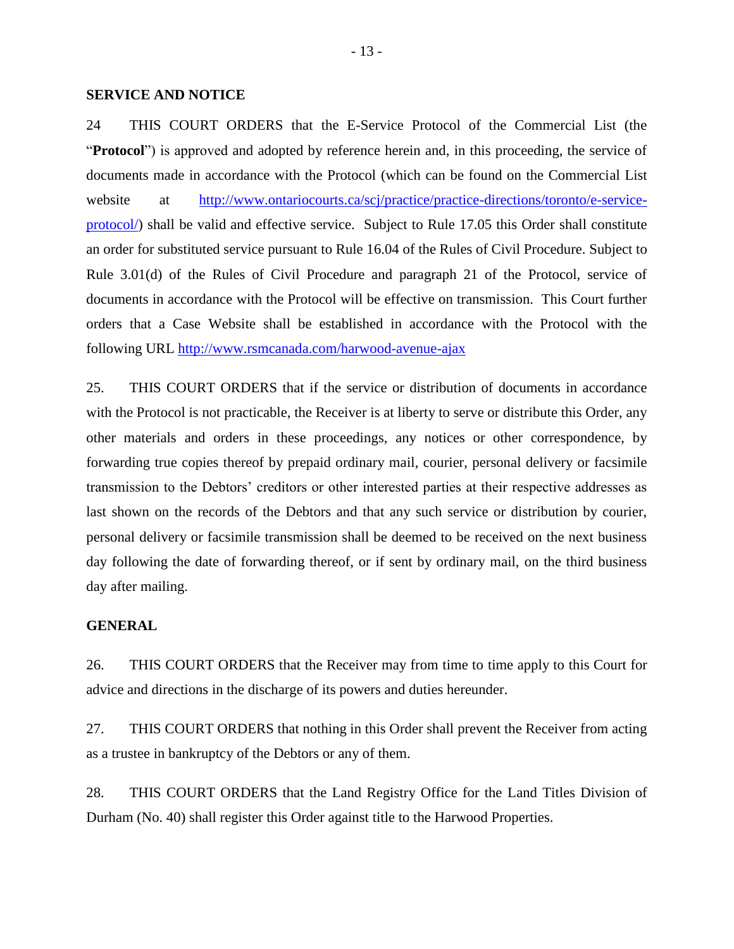#### **SERVICE AND NOTICE**

24 THIS COURT ORDERS that the E-Service Protocol of the Commercial List (the "**Protocol**") is approved and adopted by reference herein and, in this proceeding, the service of documents made in accordance with the Protocol (which can be found on the Commercial List website at http://www.ontariocourts.ca/scj/practice-practice-directions/toronto/e-service[protocol/\)](http://www.ontariocourts.ca/scj/practice/practice-directions/toronto/e-service-protocol/) shall be valid and effective service. Subject to Rule 17.05 this Order shall constitute an order for substituted service pursuant to Rule 16.04 of the Rules of Civil Procedure. Subject to Rule 3.01(d) of the Rules of Civil Procedure and paragraph 21 of the Protocol, service of documents in accordance with the Protocol will be effective on transmission. This Court further orders that a Case Website shall be established in accordance with the Protocol with the following URL<http://www.rsmcanada.com/harwood-avenue-ajax>

25. THIS COURT ORDERS that if the service or distribution of documents in accordance with the Protocol is not practicable, the Receiver is at liberty to serve or distribute this Order, any other materials and orders in these proceedings, any notices or other correspondence, by forwarding true copies thereof by prepaid ordinary mail, courier, personal delivery or facsimile transmission to the Debtors' creditors or other interested parties at their respective addresses as last shown on the records of the Debtors and that any such service or distribution by courier, personal delivery or facsimile transmission shall be deemed to be received on the next business day following the date of forwarding thereof, or if sent by ordinary mail, on the third business day after mailing.

## **GENERAL**

26. THIS COURT ORDERS that the Receiver may from time to time apply to this Court for advice and directions in the discharge of its powers and duties hereunder.

27. THIS COURT ORDERS that nothing in this Order shall prevent the Receiver from acting as a trustee in bankruptcy of the Debtors or any of them.

28. THIS COURT ORDERS that the Land Registry Office for the Land Titles Division of Durham (No. 40) shall register this Order against title to the Harwood Properties.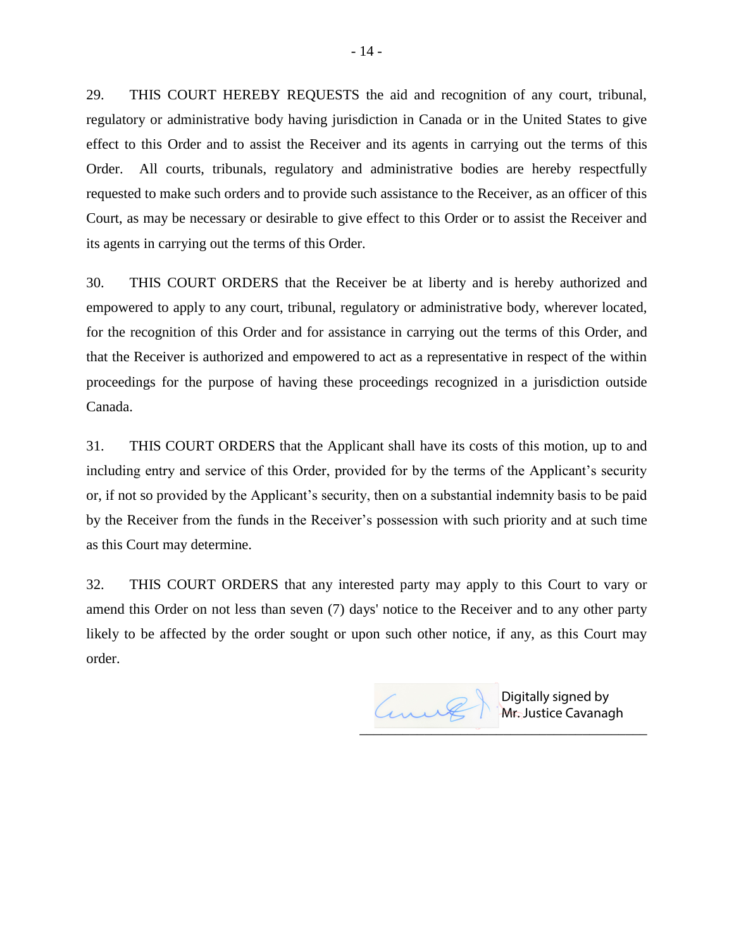29. THIS COURT HEREBY REQUESTS the aid and recognition of any court, tribunal, regulatory or administrative body having jurisdiction in Canada or in the United States to give effect to this Order and to assist the Receiver and its agents in carrying out the terms of this Order. All courts, tribunals, regulatory and administrative bodies are hereby respectfully requested to make such orders and to provide such assistance to the Receiver, as an officer of this Court, as may be necessary or desirable to give effect to this Order or to assist the Receiver and its agents in carrying out the terms of this Order.

30. THIS COURT ORDERS that the Receiver be at liberty and is hereby authorized and empowered to apply to any court, tribunal, regulatory or administrative body, wherever located, for the recognition of this Order and for assistance in carrying out the terms of this Order, and that the Receiver is authorized and empowered to act as a representative in respect of the within proceedings for the purpose of having these proceedings recognized in a jurisdiction outside Canada.

31. THIS COURT ORDERS that the Applicant shall have its costs of this motion, up to and including entry and service of this Order, provided for by the terms of the Applicant's security or, if not so provided by the Applicant's security, then on a substantial indemnity basis to be paid by the Receiver from the funds in the Receiver's possession with such priority and at such time as this Court may determine.

32. THIS COURT ORDERS that any interested party may apply to this Court to vary or amend this Order on not less than seven (7) days' notice to the Receiver and to any other party likely to be affected by the order sought or upon such other notice, if any, as this Court may order.

anne  $\overline{\phantom{a}}$ 

Digitally signed by Mr. Justice Cavanagh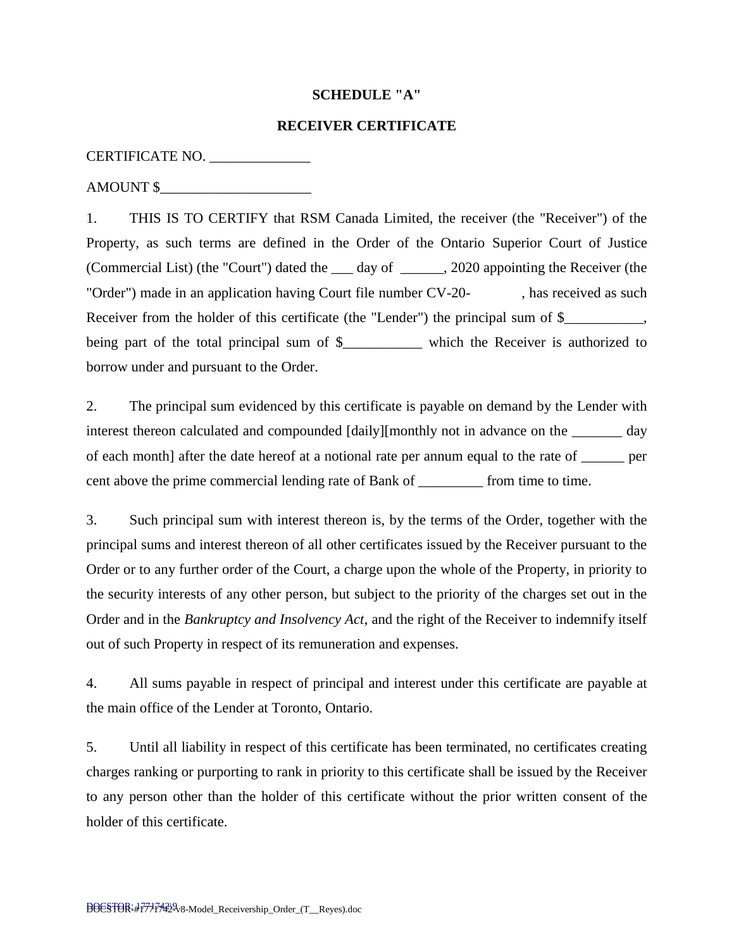# **SCHEDULE "A"**

# **RECEIVER CERTIFICATE**

# CERTIFICATE NO. \_\_\_\_\_\_\_\_\_\_\_\_\_\_

AMOUNT \$\_\_\_\_\_\_\_\_\_\_\_\_\_\_\_\_\_\_\_\_\_

1. THIS IS TO CERTIFY that RSM Canada Limited, the receiver (the "Receiver") of the Property, as such terms are defined in the Order of the Ontario Superior Court of Justice (Commercial List) (the "Court") dated the \_\_\_ day of \_\_\_\_\_\_, 2020 appointing the Receiver (the "Order") made in an application having Court file number CV-20- , has received as such Receiver from the holder of this certificate (the "Lender") the principal sum of \$\_\_\_\_\_\_\_\_\_, being part of the total principal sum of \$\_\_\_\_\_\_\_\_\_\_\_\_ which the Receiver is authorized to borrow under and pursuant to the Order.

2. The principal sum evidenced by this certificate is payable on demand by the Lender with interest thereon calculated and compounded [daily][monthly not in advance on the \_\_\_\_\_\_\_ day of each month] after the date hereof at a notional rate per annum equal to the rate of \_\_\_\_\_\_ per cent above the prime commercial lending rate of Bank of \_\_\_\_\_\_\_\_\_ from time to time.

3. Such principal sum with interest thereon is, by the terms of the Order, together with the principal sums and interest thereon of all other certificates issued by the Receiver pursuant to the Order or to any further order of the Court, a charge upon the whole of the Property, in priority to the security interests of any other person, but subject to the priority of the charges set out in the Order and in the *Bankruptcy and Insolvency Act*, and the right of the Receiver to indemnify itself out of such Property in respect of its remuneration and expenses.

4. All sums payable in respect of principal and interest under this certificate are payable at the main office of the Lender at Toronto, Ontario.

5. Until all liability in respect of this certificate has been terminated, no certificates creating charges ranking or purporting to rank in priority to this certificate shall be issued by the Receiver to any person other than the holder of this certificate without the prior written consent of the holder of this certificate.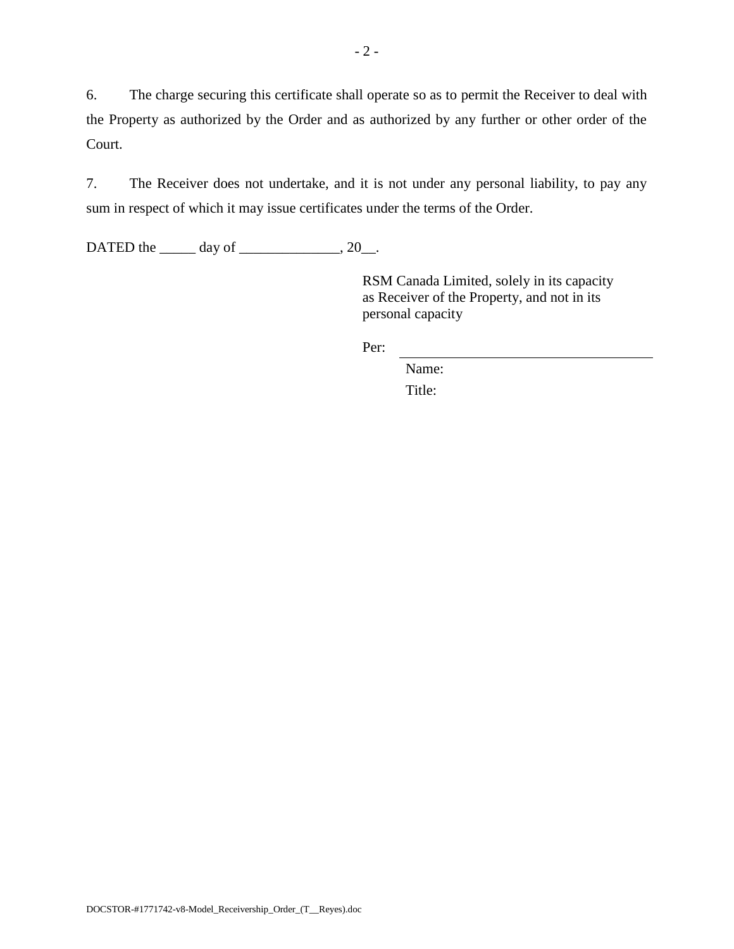6. The charge securing this certificate shall operate so as to permit the Receiver to deal with the Property as authorized by the Order and as authorized by any further or other order of the Court.

7. The Receiver does not undertake, and it is not under any personal liability, to pay any sum in respect of which it may issue certificates under the terms of the Order.

DATED the \_\_\_\_\_\_ day of \_\_\_\_\_\_\_\_\_\_\_\_\_, 20\_\_.

RSM Canada Limited, solely in its capacity as Receiver of the Property, and not in its personal capacity

Per:

Name: Title: